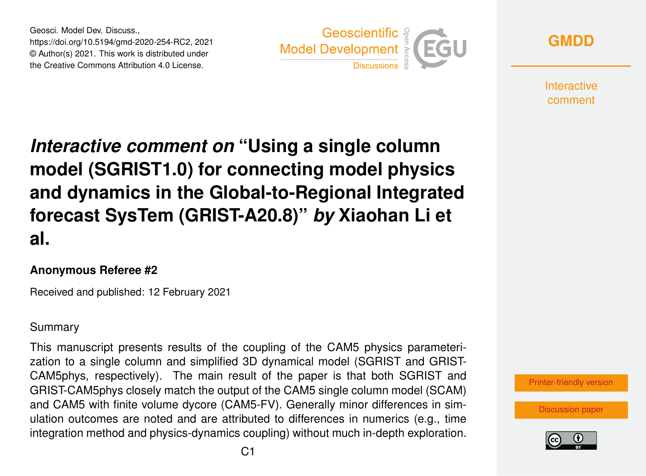Geosci. Model Dev. Discuss., https://doi.org/10.5194/gmd-2020-254-RC2, 2021 © Author(s) 2021. This work is distributed under the Creative Commons Attribution 4.0 License.





**Interactive** comment

*Interactive comment on* **"Using a single column model (SGRIST1.0) for connecting model physics and dynamics in the Global-to-Regional Integrated forecast SysTem (GRIST-A20.8)"** *by* **Xiaohan Li et al.**

### **Anonymous Referee #2**

Received and published: 12 February 2021

## Summary

This manuscript presents results of the coupling of the CAM5 physics parameterization to a single column and simplified 3D dynamical model (SGRIST and GRIST-CAM5phys, respectively). The main result of the paper is that both SGRIST and GRIST-CAM5phys closely match the output of the CAM5 single column model (SCAM) and CAM5 with finite volume dycore (CAM5-FV). Generally minor differences in simulation outcomes are noted and are attributed to differences in numerics (e.g., time integration method and physics-dynamics coupling) without much in-depth exploration.



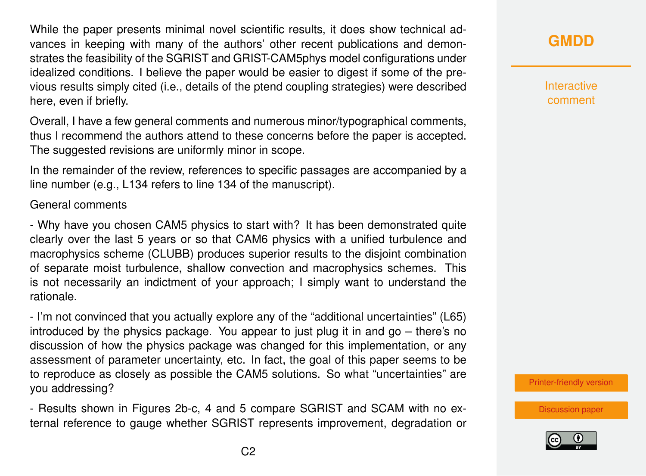While the paper presents minimal novel scientific results, it does show technical advances in keeping with many of the authors' other recent publications and demonstrates the feasibility of the SGRIST and GRIST-CAM5phys model configurations under idealized conditions. I believe the paper would be easier to digest if some of the previous results simply cited (i.e., details of the ptend coupling strategies) were described here, even if briefly.

Overall, I have a few general comments and numerous minor/typographical comments, thus I recommend the authors attend to these concerns before the paper is accepted. The suggested revisions are uniformly minor in scope.

In the remainder of the review, references to specific passages are accompanied by a line number (e.g., L134 refers to line 134 of the manuscript).

#### General comments

- Why have you chosen CAM5 physics to start with? It has been demonstrated quite clearly over the last 5 years or so that CAM6 physics with a unified turbulence and macrophysics scheme (CLUBB) produces superior results to the disjoint combination of separate moist turbulence, shallow convection and macrophysics schemes. This is not necessarily an indictment of your approach; I simply want to understand the rationale.

- I'm not convinced that you actually explore any of the "additional uncertainties" (L65) introduced by the physics package. You appear to just plug it in and go – there's no discussion of how the physics package was changed for this implementation, or any assessment of parameter uncertainty, etc. In fact, the goal of this paper seems to be to reproduce as closely as possible the CAM5 solutions. So what "uncertainties" are you addressing?

- Results shown in Figures 2b-c, 4 and 5 compare SGRIST and SCAM with no external reference to gauge whether SGRIST represents improvement, degradation or

## **[GMDD](https://gmd.copernicus.org/preprints/)**

**Interactive** comment

[Printer-friendly version](https://gmd.copernicus.org/preprints/gmd-2020-254/gmd-2020-254-RC2-print.pdf)

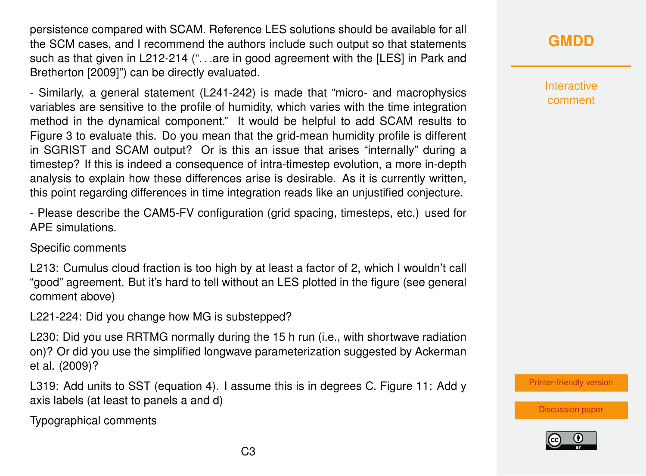persistence compared with SCAM. Reference LES solutions should be available for all the SCM cases, and I recommend the authors include such output so that statements such as that given in L212-214 ("...are in good agreement with the [LES] in Park and Bretherton [2009]") can be directly evaluated.

- Similarly, a general statement (L241-242) is made that "micro- and macrophysics variables are sensitive to the profile of humidity, which varies with the time integration method in the dynamical component." It would be helpful to add SCAM results to Figure 3 to evaluate this. Do you mean that the grid-mean humidity profile is different in SGRIST and SCAM output? Or is this an issue that arises "internally" during a timestep? If this is indeed a consequence of intra-timestep evolution, a more in-depth analysis to explain how these differences arise is desirable. As it is currently written, this point regarding differences in time integration reads like an unjustified conjecture.

- Please describe the CAM5-FV configuration (grid spacing, timesteps, etc.) used for APE simulations.

Specific comments

L213: Cumulus cloud fraction is too high by at least a factor of 2, which I wouldn't call "good" agreement. But it's hard to tell without an LES plotted in the figure (see general comment above)

L221-224: Did you change how MG is substepped?

L230: Did you use RRTMG normally during the 15 h run (i.e., with shortwave radiation on)? Or did you use the simplified longwave parameterization suggested by Ackerman et al. (2009)?

L319: Add units to SST (equation 4). I assume this is in degrees C. Figure 11: Add y axis labels (at least to panels a and d)

Typographical comments

# **[GMDD](https://gmd.copernicus.org/preprints/)**

**Interactive** comment

[Printer-friendly version](https://gmd.copernicus.org/preprints/gmd-2020-254/gmd-2020-254-RC2-print.pdf)